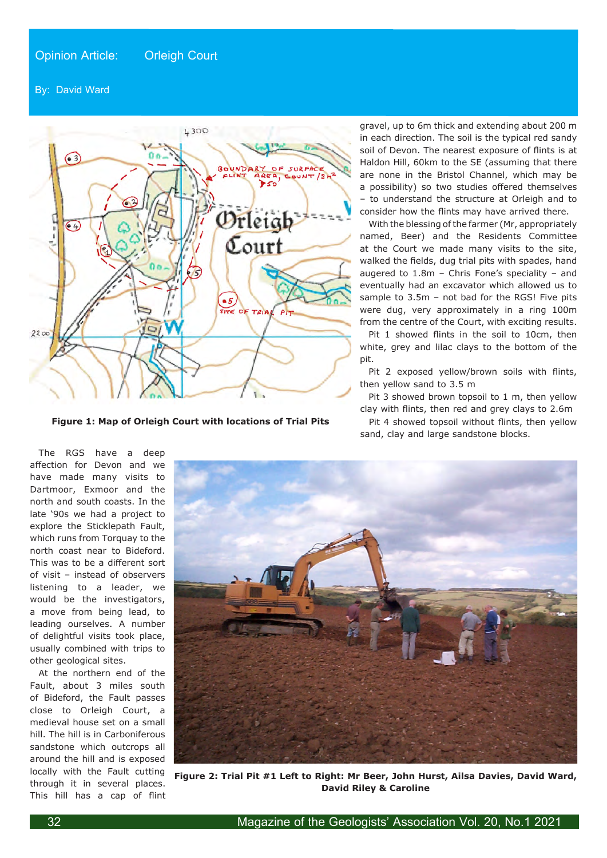## By: David Ward



**Figure 1: Map of Orleigh Court with locations of Trial Pits**

gravel, up to 6m thick and extending about 200 m in each direction. The soil is the typical red sandy soil of Devon. The nearest exposure of flints is at Haldon Hill, 60km to the SE (assuming that there are none in the Bristol Channel, which may be a possibility) so two studies offered themselves – to understand the structure at Orleigh and to consider how the flints may have arrived there.

With the blessing of the farmer (Mr, appropriately named, Beer) and the Residents Committee at the Court we made many visits to the site, walked the fields, dug trial pits with spades, hand augered to 1.8m – Chris Fone's speciality – and eventually had an excavator which allowed us to sample to 3.5m - not bad for the RGS! Five pits were dug, very approximately in a ring 100m from the centre of the Court, with exciting results.

Pit 1 showed flints in the soil to 10cm, then white, grey and lilac clays to the bottom of the pit.

Pit 2 exposed yellow/brown soils with flints, then yellow sand to 3.5 m

Pit 3 showed brown topsoil to 1 m, then yellow clay with flints, then red and grey clays to 2.6m

Pit 4 showed topsoil without flints, then yellow sand, clay and large sandstone blocks.

The RGS have a deep affection for Devon and we have made many visits to Dartmoor, Exmoor and the north and south coasts. In the late '90s we had a project to explore the Sticklepath Fault, which runs from Torquay to the north coast near to Bideford. This was to be a different sort of visit – instead of observers listening to a leader, we would be the investigators, a move from being lead, to leading ourselves. A number of delightful visits took place, usually combined with trips to other geological sites.

At the northern end of the Fault, about 3 miles south of Bideford, the Fault passes close to Orleigh Court, a medieval house set on a small hill. The hill is in Carboniferous sandstone which outcrops all around the hill and is exposed locally with the Fault cutting through it in several places. This hill has a cap of flint



**Figure 2: Trial Pit #1 Left to Right: Mr Beer, John Hurst, Ailsa Davies, David Ward, David Riley & Caroline**